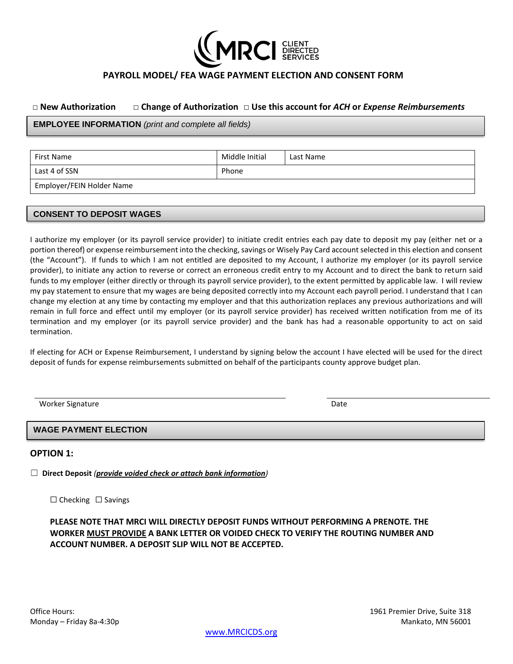

# **PAYROLL MODEL/ FEA WAGE PAYMENT ELECTION AND CONSENT FORM**

#### **□ New Authorization** □ **Change of Authorization** □ **Use this account for** *ACH* **or** *Expense Reimbursements*

**EMPLOYEE INFORMATION** *(print and complete all fields)*

| First Name                | Middle Initial | Last Name |
|---------------------------|----------------|-----------|
| Last 4 of SSN             | Phone          |           |
| Employer/FEIN Holder Name |                |           |

### **CONSENT TO DEPOSIT WAGES**

I authorize my employer (or its payroll service provider) to initiate credit entries each pay date to deposit my pay (either net or a portion thereof) or expense reimbursement into the checking, savings or Wisely Pay Card account selected in this election and consent (the "Account"). If funds to which I am not entitled are deposited to my Account, I authorize my employer (or its payroll service provider), to initiate any action to reverse or correct an erroneous credit entry to my Account and to direct the bank to return said funds to my employer (either directly or through its payroll service provider), to the extent permitted by applicable law. I will review my pay statement to ensure that my wages are being deposited correctly into my Account each payroll period. I understand that I can change my election at any time by contacting my employer and that this authorization replaces any previous authorizations and will remain in full force and effect until my employer (or its payroll service provider) has received written notification from me of its termination and my employer (or its payroll service provider) and the bank has had a reasonable opportunity to act on said termination.

If electing for ACH or Expense Reimbursement, I understand by signing below the account I have elected will be used for the direct deposit of funds for expense reimbursements submitted on behalf of the participants county approve budget plan.

Worker Signature **Date of the Contract of Contract Automobile** Contract of the Date of Date Date of the Date of the Date of the Date of the Date of the Date of the Date of the Date of the Date of the Date of the Date of th

#### **WAGE PAYMENT ELECTION**

**OPTION 1:**

☐ **Direct Deposit** *(provide voided check or attach bank information)*

☐ Checking ☐ Savings

**PLEASE NOTE THAT MRCI WILL DIRECTLY DEPOSIT FUNDS WITHOUT PERFORMING A PRENOTE. THE WORKER MUST PROVIDE A BANK LETTER OR VOIDED CHECK TO VERIFY THE ROUTING NUMBER AND ACCOUNT NUMBER. A DEPOSIT SLIP WILL NOT BE ACCEPTED.**